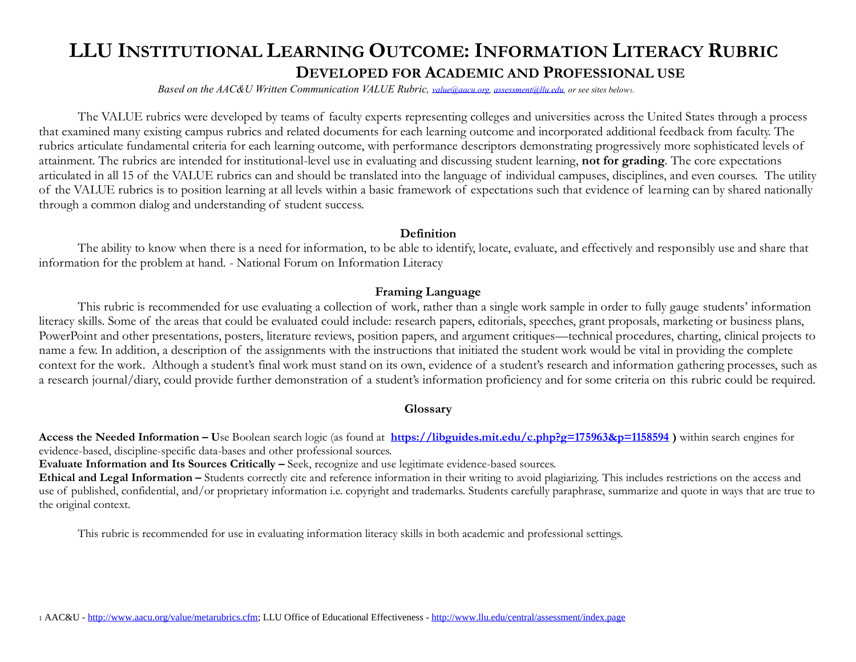# **LLU INSTITUTIONAL LEARNING OUTCOME: INFORMATION LITERACY RUBRIC DEVELOPED FOR ACADEMIC AND PROFESSIONAL USE**

 *Based on the AAC&U Written Communication VALUE Rubric, [value@aacu.org,](mailto:value@aacu.org) [assessment@llu.edu,](mailto:assessment@llu.edu) or see sites below1.*

The VALUE rubrics were developed by teams of faculty experts representing colleges and universities across the United States through a process that examined many existing campus rubrics and related documents for each learning outcome and incorporated additional feedback from faculty. The rubrics articulate fundamental criteria for each learning outcome, with performance descriptors demonstrating progressively more sophisticated levels of attainment. The rubrics are intended for institutional-level use in evaluating and discussing student learning, **not for grading**. The core expectations articulated in all 15 of the VALUE rubrics can and should be translated into the language of individual campuses, disciplines, and even courses. The utility of the VALUE rubrics is to position learning at all levels within a basic framework of expectations such that evidence of learning can by shared nationally through a common dialog and understanding of student success.

#### **Definition**

The ability to know when there is a need for information, to be able to identify, locate, evaluate, and effectively and responsibly use and share that information for the problem at hand. - National Forum on Information Literacy

### **Framing Language**

This rubric is recommended for use evaluating a collection of work, rather than a single work sample in order to fully gauge students' information literacy skills. Some of the areas that could be evaluated could include: research papers, editorials, speeches, grant proposals, marketing or business plans, PowerPoint and other presentations, posters, literature reviews, position papers, and argument critiques—technical procedures, charting, clinical projects to name a few. In addition, a description of the assignments with the instructions that initiated the student work would be vital in providing the complete context for the work. Although a student's final work must stand on its own, evidence of a student's research and information gathering processes, such as a research journal/diary, could provide further demonstration of a student's information proficiency and for some criteria on this rubric could be required.

### **Glossary**

**Access the Needed Information – U**se Boolean search logic (as found at **<https://libguides.mit.edu/c.php?g=175963&p=1158594> )** within search engines for evidence-based, discipline-specific data-bases and other professional sources.

**Evaluate Information and Its Sources Critically –** Seek, recognize and use legitimate evidence-based sources.

**Ethical and Legal Information –** Students correctly cite and reference information in their writing to avoid plagiarizing. This includes restrictions on the access and use of published, confidential, and/or proprietary information i.e. copyright and trademarks. Students carefully paraphrase, summarize and quote in ways that are true to the original context.

This rubric is recommended for use in evaluating information literacy skills in both academic and professional settings.